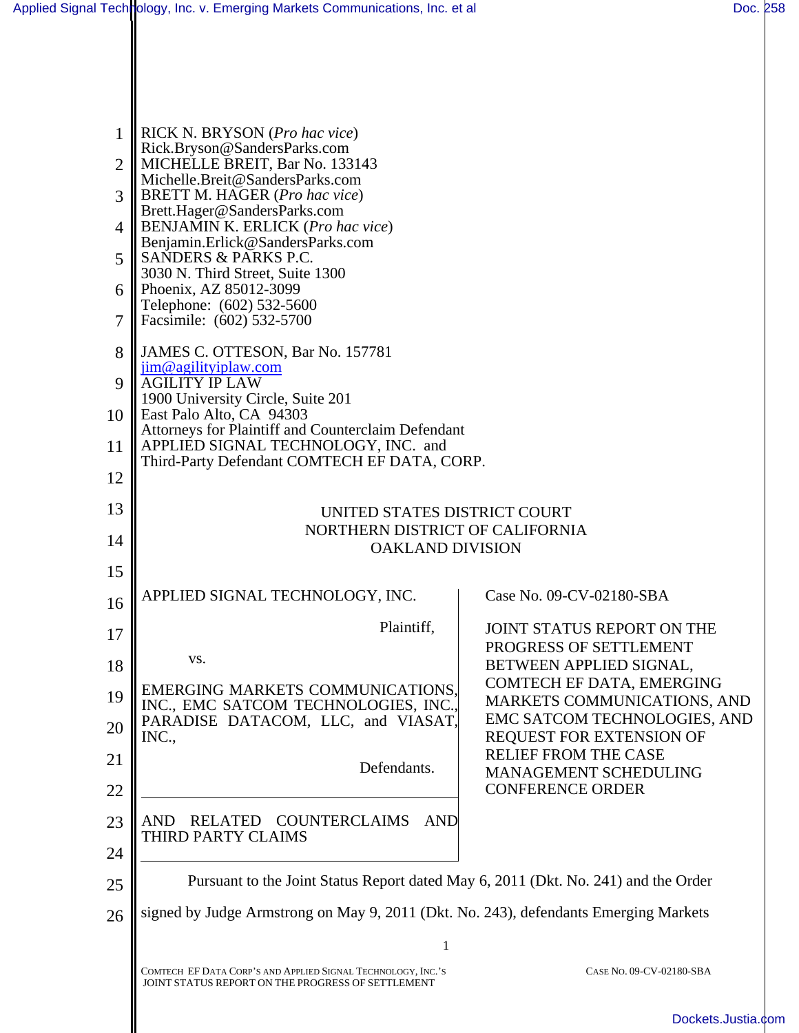| 1<br>$\overline{2}$ | RICK N. BRYSON (Pro hac vice)<br>Rick.Bryson@SandersParks.com<br>MICHELLE BREIT, Bar No. 133143                   |                                                          |  |  |
|---------------------|-------------------------------------------------------------------------------------------------------------------|----------------------------------------------------------|--|--|
| 3                   | Michelle.Breit@SandersParks.com<br>BRETT M. HAGER (Pro hac vice)                                                  |                                                          |  |  |
|                     | Brett.Hager@SandersParks.com                                                                                      |                                                          |  |  |
| $\overline{4}$      | <b>BENJAMIN K. ERLICK (Pro hac vice)</b><br>Benjamin.Erlick@SandersParks.com<br>SANDERS & PARKS P.C.              |                                                          |  |  |
| 5                   | 3030 N. Third Street, Suite 1300                                                                                  |                                                          |  |  |
| 6                   | Phoenix, AZ 85012-3099<br>Telephone: (602) 532-5600                                                               |                                                          |  |  |
| 7                   | Facsimile: (602) 532-5700                                                                                         |                                                          |  |  |
| 8                   | JAMES C. OTTESON, Bar No. 157781<br>jim@agilityiplaw.com                                                          |                                                          |  |  |
| 9<br>10             | <b>AGILITY IP LAW</b><br>1900 University Circle, Suite 201<br>East Palo Alto, CA 94303                            |                                                          |  |  |
| 11                  | Attorneys for Plaintiff and Counterclaim Defendant<br>APPLIED SIGNAL TECHNOLOGY, INC. and                         |                                                          |  |  |
| 12                  | Third-Party Defendant COMTECH EF DATA, CORP.                                                                      |                                                          |  |  |
|                     |                                                                                                                   |                                                          |  |  |
| 13                  | UNITED STATES DISTRICT COURT<br>NORTHERN DISTRICT OF CALIFORNIA                                                   |                                                          |  |  |
| 14                  | <b>OAKLAND DIVISION</b>                                                                                           |                                                          |  |  |
| 15                  | APPLIED SIGNAL TECHNOLOGY, INC.                                                                                   | Case No. 09-CV-02180-SBA                                 |  |  |
| 16                  | Plaintiff,                                                                                                        |                                                          |  |  |
| 17                  |                                                                                                                   | JOINT STATUS REPORT ON THE<br>PROGRESS OF SETTLEMENT     |  |  |
| 18                  | VS.                                                                                                               | BETWEEN APPLIED SIGNAL,<br>COMTECH EF DATA, EMERGING     |  |  |
| 19                  | EMERGING MARKETS COMMUNICATIONS,<br>INC., EMC SATCOM TECHNOLOGIES, INC.,                                          | MARKETS COMMUNICATIONS, AND                              |  |  |
| 20                  | PARADISE DATACOM, LLC, and VIASAT,<br>INC.,                                                                       | EMC SATCOM TECHNOLOGIES, AND<br>REQUEST FOR EXTENSION OF |  |  |
| 21                  | Defendants.                                                                                                       | <b>RELIEF FROM THE CASE</b><br>MANAGEMENT SCHEDULING     |  |  |
| 22                  |                                                                                                                   | <b>CONFERENCE ORDER</b>                                  |  |  |
| 23                  | RELATED COUNTERCLAIMS<br><b>AND</b><br>AND<br>THIRD PARTY CLAIMS                                                  |                                                          |  |  |
| 24                  |                                                                                                                   |                                                          |  |  |
| 25                  | Pursuant to the Joint Status Report dated May 6, 2011 (Dkt. No. 241) and the Order                                |                                                          |  |  |
| 26                  | signed by Judge Armstrong on May 9, 2011 (Dkt. No. 243), defendants Emerging Markets                              |                                                          |  |  |
|                     | 1                                                                                                                 |                                                          |  |  |
|                     | COMTECH EF DATA CORP'S AND APPLIED SIGNAL TECHNOLOGY, INC.'S<br>JOINT STATUS REPORT ON THE PROGRESS OF SETTLEMENT | CASE NO. 09-CV-02180-SBA                                 |  |  |
|                     |                                                                                                                   | Dockets.Justia.co                                        |  |  |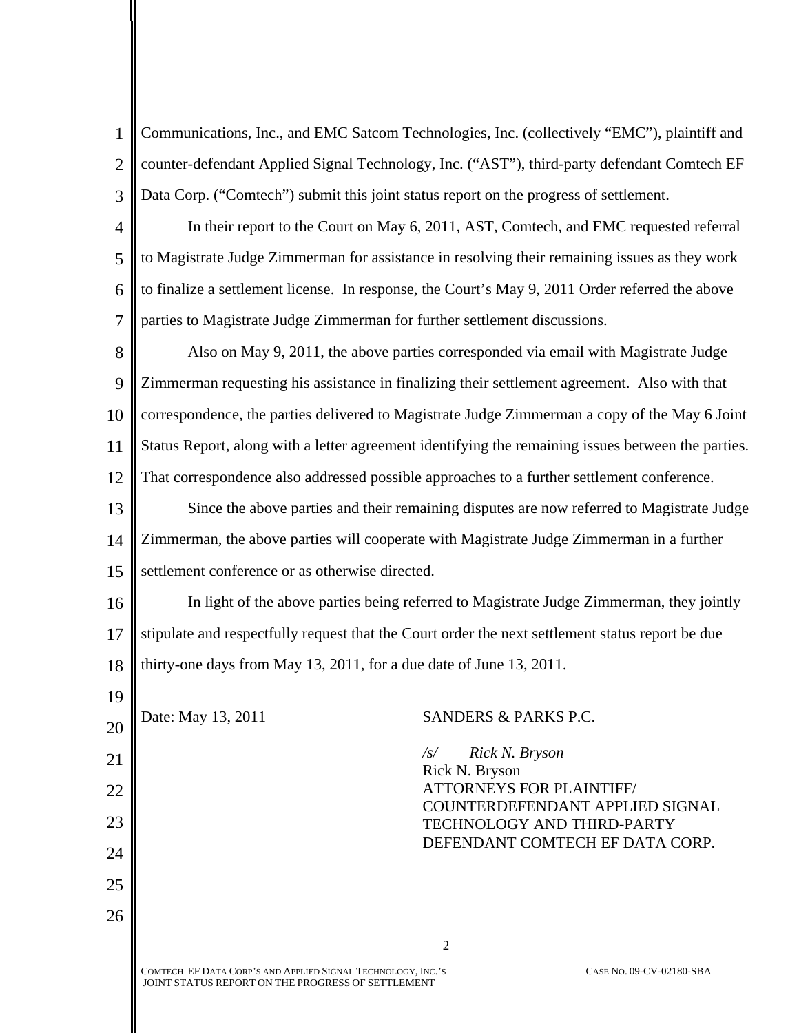1  $\mathfrak{D}$ 3 Communications, Inc., and EMC Satcom Technologies, Inc. (collectively "EMC"), plaintiff and counter-defendant Applied Signal Technology, Inc. ("AST"), third-party defendant Comtech EF Data Corp. ("Comtech") submit this joint status report on the progress of settlement.

4 5 6 7 In their report to the Court on May 6, 2011, AST, Comtech, and EMC requested referral to Magistrate Judge Zimmerman for assistance in resolving their remaining issues as they work to finalize a settlement license. In response, the Court's May 9, 2011 Order referred the above parties to Magistrate Judge Zimmerman for further settlement discussions.

8  $\overline{Q}$ 10 11 12 Also on May 9, 2011, the above parties corresponded via email with Magistrate Judge Zimmerman requesting his assistance in finalizing their settlement agreement. Also with that correspondence, the parties delivered to Magistrate Judge Zimmerman a copy of the May 6 Joint Status Report, along with a letter agreement identifying the remaining issues between the parties. That correspondence also addressed possible approaches to a further settlement conference.

13 14 15 Since the above parties and their remaining disputes are now referred to Magistrate Judge Zimmerman, the above parties will cooperate with Magistrate Judge Zimmerman in a further settlement conference or as otherwise directed.

16 17 18 In light of the above parties being referred to Magistrate Judge Zimmerman, they jointly stipulate and respectfully request that the Court order the next settlement status report be due thirty-one days from May 13, 2011, for a due date of June 13, 2011.

2

20

19

21

22

23

24

25

26

Date: May 13, 2011 SANDERS & PARKS P.C.

*/s/ Rick N. Bryson*  Rick N. Bryson ATTORNEYS FOR PLAINTIFF/ COUNTERDEFENDANT APPLIED SIGNAL TECHNOLOGY AND THIRD-PARTY DEFENDANT COMTECH EF DATA CORP.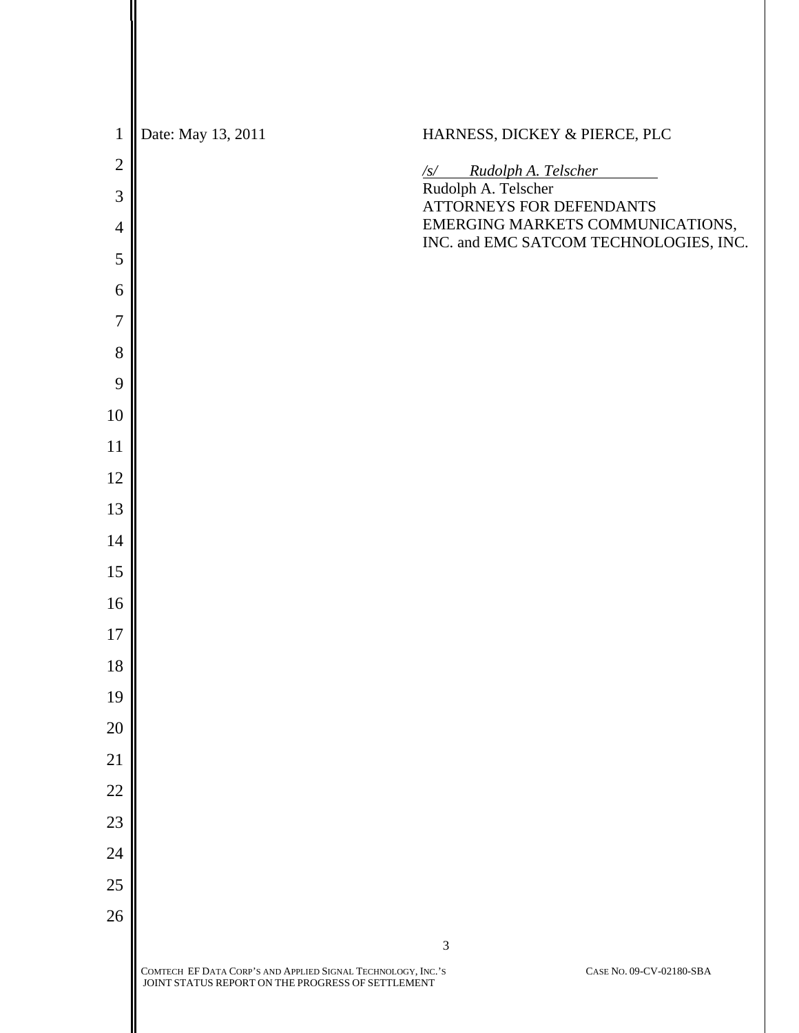| $\mathbf{1}$   | Date: May 13, 2011                                                                                                | HARNESS, DICKEY & PIERCE, PLC                                              |
|----------------|-------------------------------------------------------------------------------------------------------------------|----------------------------------------------------------------------------|
| $\overline{2}$ |                                                                                                                   | $\frac{f_S}{f_S}$ Rudolph A. Telscher<br>Rudolph A. Telscher               |
| 3              |                                                                                                                   | ATTORNEYS FOR DEFENDANTS                                                   |
| $\overline{4}$ |                                                                                                                   | EMERGING MARKETS COMMUNICATIONS,<br>INC. and EMC SATCOM TECHNOLOGIES, INC. |
| 5              |                                                                                                                   |                                                                            |
| 6              |                                                                                                                   |                                                                            |
| $\overline{7}$ |                                                                                                                   |                                                                            |
| 8              |                                                                                                                   |                                                                            |
| 9              |                                                                                                                   |                                                                            |
| 10             |                                                                                                                   |                                                                            |
| 11             |                                                                                                                   |                                                                            |
| 12<br>13       |                                                                                                                   |                                                                            |
| 14             |                                                                                                                   |                                                                            |
| 15             |                                                                                                                   |                                                                            |
| 16             |                                                                                                                   |                                                                            |
| 17             |                                                                                                                   |                                                                            |
| 18             |                                                                                                                   |                                                                            |
| 19             |                                                                                                                   |                                                                            |
| 20             |                                                                                                                   |                                                                            |
| 21             |                                                                                                                   |                                                                            |
| 22             |                                                                                                                   |                                                                            |
| 23             |                                                                                                                   |                                                                            |
| 24             |                                                                                                                   |                                                                            |
| 25             |                                                                                                                   |                                                                            |
| 26             |                                                                                                                   |                                                                            |
|                |                                                                                                                   | $\mathfrak{Z}$                                                             |
|                | COMTECH EF DATA CORP'S AND APPLIED SIGNAL TECHNOLOGY, INC.'S<br>JOINT STATUS REPORT ON THE PROGRESS OF SETTLEMENT | CASE NO. 09-CV-02180-SBA                                                   |
|                |                                                                                                                   |                                                                            |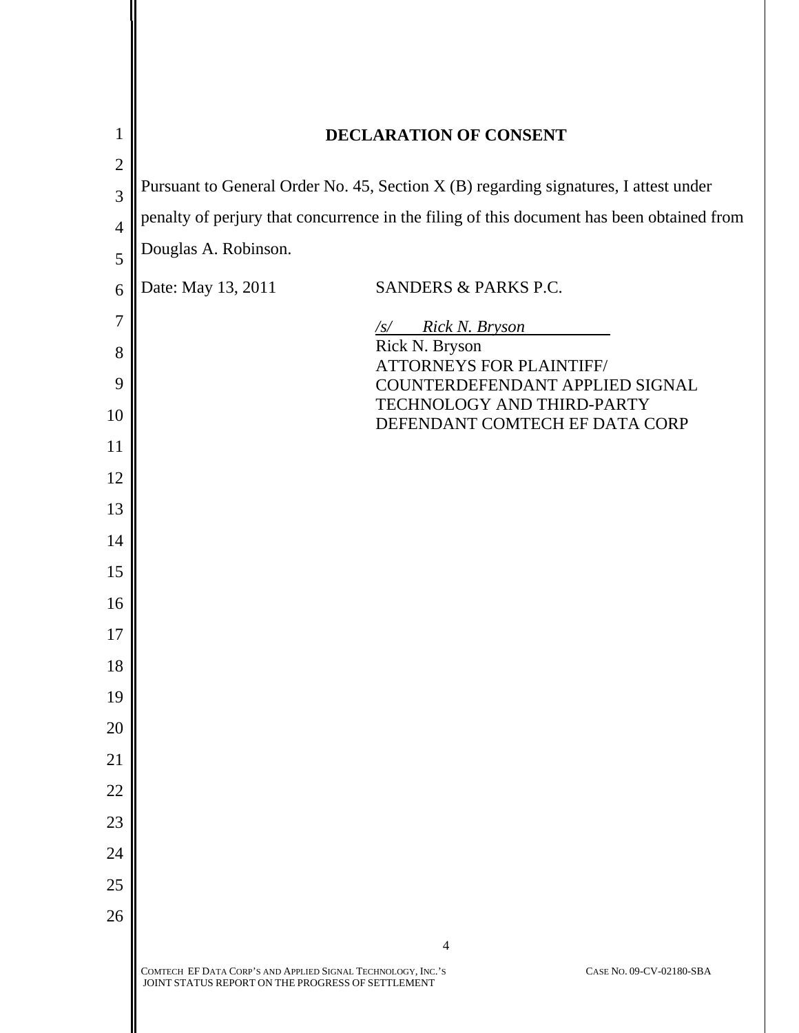| $\mathbf{1}$   | DECLARATION OF CONSENT                                                                                            |                                                               |
|----------------|-------------------------------------------------------------------------------------------------------------------|---------------------------------------------------------------|
| $\overline{2}$ |                                                                                                                   |                                                               |
| 3              | Pursuant to General Order No. 45, Section X (B) regarding signatures, I attest under                              |                                                               |
| $\overline{4}$ | penalty of perjury that concurrence in the filing of this document has been obtained from                         |                                                               |
| 5              | Douglas A. Robinson.                                                                                              |                                                               |
| 6              | Date: May 13, 2011                                                                                                | SANDERS & PARKS P.C.                                          |
| $\overline{7}$ |                                                                                                                   | $\sqrt{s}$ Rick N. Bryson                                     |
| 8              |                                                                                                                   | Rick N. Bryson<br><b>ATTORNEYS FOR PLAINTIFF/</b>             |
| 9              |                                                                                                                   | COUNTERDEFENDANT APPLIED SIGNAL<br>TECHNOLOGY AND THIRD-PARTY |
| 10             |                                                                                                                   | DEFENDANT COMTECH EF DATA CORP                                |
| 11             |                                                                                                                   |                                                               |
| 12             |                                                                                                                   |                                                               |
| 13             |                                                                                                                   |                                                               |
| 14             |                                                                                                                   |                                                               |
| 15             |                                                                                                                   |                                                               |
| 16             |                                                                                                                   |                                                               |
| 17<br>18       |                                                                                                                   |                                                               |
| 19             |                                                                                                                   |                                                               |
| 20             |                                                                                                                   |                                                               |
| 21             |                                                                                                                   |                                                               |
| 22             |                                                                                                                   |                                                               |
| 23             |                                                                                                                   |                                                               |
| 24             |                                                                                                                   |                                                               |
| 25             |                                                                                                                   |                                                               |
| 26             |                                                                                                                   |                                                               |
|                |                                                                                                                   | 4                                                             |
|                | COMTECH EF DATA CORP'S AND APPLIED SIGNAL TECHNOLOGY, INC.'S<br>JOINT STATUS REPORT ON THE PROGRESS OF SETTLEMENT | CASE NO. 09-CV-02180-SBA                                      |
|                |                                                                                                                   |                                                               |